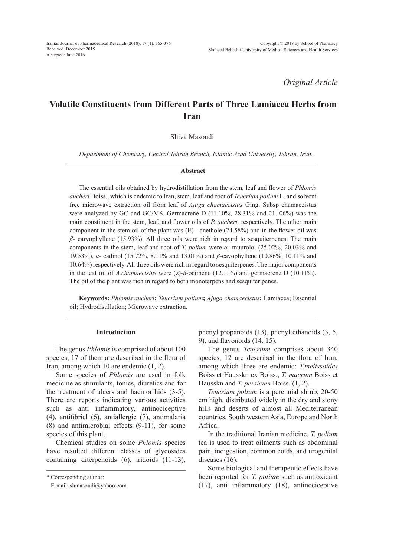*Original Article*

# **Volatile Constituents from Different Parts of Three Lamiacea Herbs from Iran**

Shiva Masoudi

*Department of Chemistry, Central Tehran Branch, Islamic Azad University, Tehran, Iran.*

#### **Abstract**

The essential oils obtained by hydrodistillation from the stem, leaf and flower of *Phlomis aucheri* Boiss., which is endemic to Iran, stem, leaf and root of *Teucrium polium* L. and solvent free microwave extraction oil from leaf of *Ajuga chamaecistus* Ging. Subsp chamaecistus were analyzed by GC and GC/MS. Germacrene D (11.10%, 28.31% and 21. 06%) was the main constituent in the stem, leaf, and flower oils of *P. aucheri,* respectively. The other main component in the stem oil of the plant was (E) - anethole (24.58%) and in the flower oil was *β*- caryophyllene (15.93%). All three oils were rich in regard to sesquiterpenes. The main components in the stem, leaf and root of *T. polium* were *α*- muurolol (25.02%, 20.03% and 19.53%), *α*- cadinol (15.72%, 8.11% and 13.01%) and *β*-cayophyllene (10.86%, 10.11% and 10.64%) respectively. All three oils were rich in regard to sesquiterpenes. The major components in the leaf oil of *A.chamaecistus* were (z)-*β*-ocimene (12.11%) and germacrene D (10.11%). The oil of the plant was rich in regard to both monoterpens and sesquiter penes.

**Keywords:** *Phlomis aucheri***;** *Teucrium polium***;** *Ajuga chamaecistus***;** Lamiacea; Essential oil; Hydrodistillation; Microwave extraction.

## **Introduction**

The genus *Phlomis* is comprised of about 100 species, 17 of them are described in the flora of Iran, among which 10 are endemic (1, 2).

Some species of *Phlomis* are used in folk medicine as stimulants, tonics, diuretics and for the treatment of ulcers and haemorrhids (3-5). There are reports indicating various activities such as anti inflammatory, antinociceptive (4), antifibriel (6), antiallergic (7), antimalaria (8) and antimicrobial effects (9-11), for some species of this plant.

Chemical studies on some *Phlomis* species have resulted different classes of glycosides containing diterpenoids (6), iridoids (11-13), phenyl propanoids (13), phenyl ethanoids (3, 5, 9), and flavonoids (14, 15).

The genus *Teucrium* comprises about 340 species, 12 are described in the flora of Iran, among which three are endemic: *T.melissoides*  Boiss et Hausskn ex Boiss., *T. macrum* Boiss et Hausskn and *T. persicum* Boiss. (1, 2).

*Teucrium polium* is a perennial shrub, 20-50 cm high, distributed widely in the dry and stony hills and deserts of almost all Mediterranean countries, South western Asia, Europe and North Africa.

In the traditional Iranian medicine, *T. polium*  tea is used to treat oilments such as abdominal pain, indigestion, common colds, and urogenital diseases (16).

Some biological and therapeutic effects have been reported for *T. polium* such as antioxidant (17), anti inflammatory (18), antinociceptive

<sup>\*</sup> Corresponding author:

E-mail: shmasoudi@yahoo.com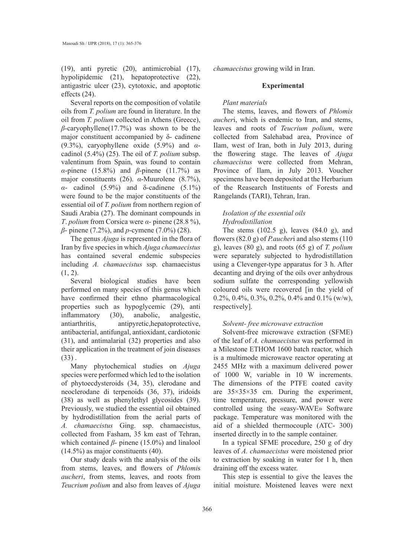(19), anti pyretic (20), antimicrobial (17), hypolipidemic (21), hepatoprotective (22), antigastric ulcer (23), cytotoxic, and apoptotic effects (24).

Several reports on the composition of volatile oils from *T. polium* are found in literature. In the oil from *T. polium* collected in Athens (Greece), *β*-caryophyllene(17.7%) was shown to be the major constituent accompanied by δ- cadinene (9.3%), caryophyllene oxide (5.9%) and *α*cadinol (5.4%) (25). The oil of *T. polium* subsp. valentinum from Spain, was found to contain *α*-pinene (15.8%) and *β*-pinene (11.7%) as major constituents (26). *α*-Muurolene (8.7%), *α*- cadinol (5.9%) and δ-cadinene (5.1%) were found to be the major constituents of the essential oil of *T. polium* from northern region of Saudi Arabia (27). The dominant compounds in *T*. *polium* from Corsica were *α*- pinene (28.8 %), *β*- pinene (7.2%), and *p*-cymene (7.0%) (28).

The genus *Ajuga* is represented in the flora of Iran by five species in which *Ajuga chamaecistus*  has contained several endemic subspecies including *A. chamaecistus* ssp. chamaecistus  $(1, 2)$ .

Several biological studies have been performed on many species of this genus which have confirmed their ethno pharmacological properties such as hypoglycemic (29), anti inflammatory (30), anabolic, analgestic, antiarthritis, antipyretic,hepatoprotective, antibacterial, antifungal, antioxidant, cardiotonic (31), and antimalarial (32) properties and also their application in the treatment of join diseases  $(33)$ .

Many phytochemical studies on *Ajuga*  species were performed which led to the isolation of phytoecdysteroids (34, 35), clerodane and neoclerodane di terpenoids (36, 37), iridoids (38) as well as phenylethyl glycosides (39). Previously, we studied the essential oil obtained by hydrodistillation from the aerial parts of *A. chamaecistus* Ging. ssp. chamaecistus, collected from Fasham, 35 km east of Tehran, which contained *β*- pinene (15.0%) and linalool (14.5%) as major constituents (40).

Our study deals with the analysis of the oils from stems, leaves, and flowers of *Phlomi*s *aucheri*, from stems, leaves, and roots from *Teucrium polium* and also from leaves of *Ajuga*  *chamaecistus* growing wild in Iran.

## **Experimental**

## *Plant materials*

The stems, leaves, and flowers of *Phlomis aucher*i, which is endemic to Iran, and stems, leaves and roots of *Teucrium polium*, were collected from Salehabad area, Province of Ilam, west of Iran, both in July 2013, during the flowering stage. The leaves of *Ajuga chamaecistus* were collected from Mehran, Province of Ilam, in July 2013. Voucher specimens have been deposited at the Herbarium of the Reasearch Instituents of Forests and Rangelands (TARI), Tehran, Iran.

# *Isolation of the essential oils Hydrodistillation*

The stems (102.5 g), leaves (84.0 g), and flowers (82.0 g) of *P.aucher*i and also stems (110 g), leaves (80 g), and roots (65 g) of *T. polium*  were separately subjected to hydrodistillation using a Clevenger-type apparatus for 3 h. After decanting and drying of the oils over anhydrous sodium sulfate the corresponding yellowish coloured oils were recovered [in the yield of 0.2%, 0.4%, 0.3%, 0.2%, 0.4% and 0.1% (w/w), respectively].

## *Solvent- free microwave extraction*

Solvent-free microwave extraction (SFME) of the leaf of *A. chamaecistus* was performed in a Milestone ETHOM 1600 batch reactor, which is a multimode microwave reactor operating at 2455 MHz with a maximum delivered power of 1000 W, variable in 10 W increments. The dimensions of the PTFE coated cavity are 35×35×35 cm. During the experiment, time temperature, pressure, and power were controlled using the «easy-WAVE» Software package. Temperature was monitored with the aid of a shielded thermocouple (ATC- 300) inserted directly in to the sample container.

In a typical SFME procedure, 250 g of dry leaves of *A. chamaecistus* were moistened prior to extraction by soaking in water for 1 h, then draining off the excess water.

This step is essential to give the leaves the initial moisture. Moistened leaves were next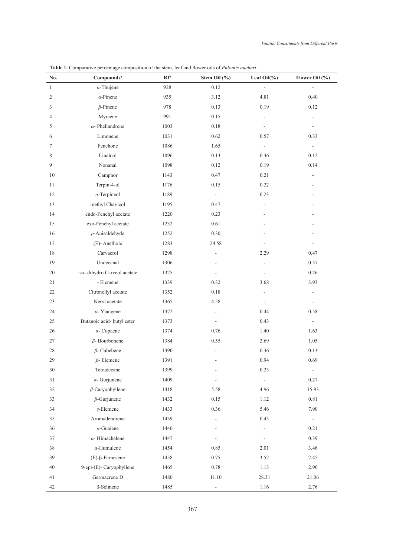| No.            | Compounds <sup>a</sup>      | RI <sup>b</sup> | Stem Oil $(\% )$         | Leaf Oil $(\% )$         | Flower Oil $(\% )$       |
|----------------|-----------------------------|-----------------|--------------------------|--------------------------|--------------------------|
| $\mathbf{1}$   | $\alpha$ -Thujene           | 928             | 0.12                     | $\overline{a}$           |                          |
| $\overline{2}$ | $\alpha$ -Pinene            | 935             | 3.12                     | 4.81                     | 0.40                     |
| 3              | $\beta$ -Pinene             | 978             | 0.13                     | 0.19                     | 0.12                     |
| 4              | Myrcene                     | 991             | 0.15                     |                          |                          |
| 5              | $\alpha$ - Phellandrene     | 1003            | 0.18                     |                          | -                        |
| 6              | Limonene                    | 1031            | 0.62                     | 0.57                     | 0.33                     |
| 7              | Fenchone                    | 1086            | 1.65                     | $\overline{\phantom{a}}$ | $\sim$                   |
| 8              | Linalool                    | 1096            | 0.13                     | 0.36                     | 0.12                     |
| 9              | Nonanal                     | 1098            | 0.12                     | 0.19                     | 0.14                     |
| 10             | Camphor                     | 1143            | 0.47                     | 0.21                     |                          |
| 11             | Terpin-4-ol                 | 1176            | 0.15                     | 0.22                     |                          |
| 12             | $\alpha$ -Terpineol         | 1189            | $\overline{\phantom{a}}$ | 0.23                     |                          |
| 13             | methyl Chavicol             | 1195            | 0.47                     |                          |                          |
| 14             | endo-Fenchyl acetate        | 1220            | 0.23                     |                          |                          |
| 15             | exo-Fenchyl acetate         | 1232            | 0.61                     |                          |                          |
| 16             | $p$ -Anisaldehyde           | 1252            | 0.30                     |                          |                          |
| 17             | (E)-Anethole                | 1283            | 24.58                    |                          |                          |
| 18             | Carvacrol                   | 1298            |                          | 2.29                     | 0.47                     |
| 19             | Undecanal                   | 1306            |                          |                          | 0.37                     |
| 20             | iso-dihydro Carveol acetate | 1325            |                          |                          | 0.26                     |
| 21             | - Elemene                   | 1339            | 0.32                     | 3.68                     | 3.93                     |
| 22             | Citronellyl acetate         | 1352            | 0.18                     |                          |                          |
| 23             | Neryl acetate               | 1365            | 4.58                     |                          | ÷,                       |
| 24             | $\alpha$ -Ylangene          | 1372            | $\blacksquare$           | 0.44                     | 0.58                     |
| 25             | Butanoic acid- butyl ester  | 1373            | $\overline{\phantom{a}}$ | 0.43                     | $\overline{\phantom{a}}$ |
| 26             | $\alpha$ - Copaene          | 1374            | 0.76                     | 1.40                     | 1.63                     |
| 27             | $\beta$ - Bourbonene        | 1384            | 0.55                     | 2.69                     | 1.05                     |
| 28             | $\beta$ - Cubebene          | 1390            |                          | 0.36                     | 0.13                     |
| 29             | $\beta$ - Elemene           | 1391            |                          | 0.94                     | 0.69                     |
| $30\,$         | Tetradecane                 | 1399            | $\overline{\phantom{a}}$ | 0.23                     | $\blacksquare$           |
| 31             | $\alpha$ - Gurjunene        | 1409            | $\overline{a}$           | $\overline{a}$           | 0.27                     |
| 32             | $\beta$ -Caryophyllene      | 1418            | 5.58                     | 4.96                     | 15.93                    |
| 33             | $\beta$ -Gurjunene          | 1432            | $0.15\,$                 | 1.12                     | $0.81\,$                 |
| 34             | $\nu$ -Elemene              | 1433            | 0.36                     | 5.46                     | 7.90                     |
| 35             | Aromadendrene               | 1439            | $\overline{\phantom{a}}$ | 0.43                     | ÷.                       |
| 36             | $\alpha$ -Guaiene           | 1440            | $\overline{\phantom{a}}$ | ÷                        | 0.21                     |
| 37             | $\alpha$ -Himachalene       | 1447            |                          | $\overline{\phantom{a}}$ | 0.39                     |
| 38             | $\alpha$ -Humulene          | 1454            | 0.85                     | 2.01                     | 3.46                     |
| 39             | $(E)$ - $\beta$ -Farnesene  | 1458            | 0.75                     | 3.52                     | 2.45                     |
| 40             | 9-epi-(E)- Caryophyllene    | 1465            | 0.78                     | 1.13                     | 2.90                     |
| 41             | Germacrene D                | 1480            | 11.10                    | 28.31                    | 21.06                    |
| 42             | $\beta$ -Selinene           | 1485            | $\blacksquare$           | 1.16                     | 2.76                     |

**Table 1.** Comparative percentage composition of the stem, leaf and flower oils of *Phlomis aucheri.*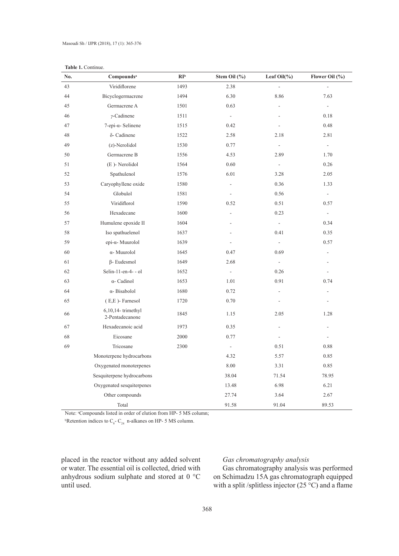|--|

| No. | Compounds <sup>a</sup>                  | RI <sup>b</sup> | Stem Oil (%)   | Leaf $Oil(\%)$           | Flower Oil (%)               |
|-----|-----------------------------------------|-----------------|----------------|--------------------------|------------------------------|
| 43  | Viridiflorene                           | 1493            | 2.38           | ÷.                       |                              |
| 44  | Bicyclogermacrene                       | 1494            | 6.30           | 8.86                     | 7.63                         |
| 45  | Germacrene A                            | 1501            | 0.63           |                          | $\blacksquare$               |
| 46  | $\gamma$ -Cadinene                      | 1511            | $\blacksquare$ |                          | 0.18                         |
| 47  | $7$ -epi- $\alpha$ - Selinene           | 1515            | 0.42           |                          | 0.48                         |
| 48  | δ- Cadinene                             | 1522            | 2.58           | 2.18                     | 2.81                         |
| 49  | (z)-Nerolidol                           | 1530            | 0.77           | $\overline{\phantom{a}}$ | $\qquad \qquad \blacksquare$ |
| 50  | Germacrene B                            | 1556            | 4.53           | 2.89                     | 1.70                         |
| 51  | (E)-Nerolidol                           | 1564            | 0.60           | $\Box$                   | 0.26                         |
| 52  | Spathulenol                             | 1576            | 6.01           | 3.28                     | 2.05                         |
| 53  | Caryophyllene oxide                     | 1580            | ÷,             | 0.36                     | 1.33                         |
| 54  | Globulol                                | 1581            |                | 0.56                     | $\blacksquare$               |
| 55  | Viridiflorol                            | 1590            | 0.52           | 0.51                     | 0.57                         |
| 56  | Hexadecane                              | 1600            | ÷,             | 0.23                     | $\blacksquare$               |
| 57  | Humulene epoxide II                     | 1604            |                | $\overline{\phantom{a}}$ | 0.34                         |
| 58  | Iso spathuelenol                        | 1637            |                | 0.41                     | 0.35                         |
| 59  | epi-α- Muurolol                         | 1639            | L.             | $\overline{\phantom{a}}$ | 0.57                         |
| 60  | $\alpha$ - Muurolol                     | 1645            | 0.47           | 0.69                     |                              |
| 61  | $\beta$ - Eudesmol                      | 1649            | 2.68           |                          |                              |
| 62  | Selin-11-en-4- - ol                     | 1652            | $\blacksquare$ | 0.26                     |                              |
| 63  | $\alpha$ - Cadinol                      | 1653            | 1.01           | 0.91                     | 0.74                         |
| 64  | α-Bisabolol                             | 1680            | 0.72           |                          | L,                           |
| 65  | $(E,E)$ - Farnesol                      | 1720            | 0.70           |                          |                              |
| 66  | $6,10,14$ -trimethyl<br>2-Pentadecanone | 1845            | 1.15           | 2.05                     | 1.28                         |
| 67  | Hexadecanoic acid                       | 1973            | 0.35           | L.                       | ä,                           |
| 68  | Eicosane                                | 2000            | 0.77           |                          |                              |
| 69  | Tricosane                               | 2300            | $\Box$         | 0.51                     | 0.88                         |
|     | Monoterpene hydrocarbons                |                 | 4.32           | 5.57                     | 0.85                         |
|     | Oxygenated monoterpenes                 |                 | $8.00\,$       | 3.31                     | 0.85                         |
|     | Sesquiterpene hydrocarbons              |                 | 38.04          | 71.54                    | 78.95                        |
|     | Oxygenated sesquiterpenes               |                 | 13.48          | 6.98                     | 6.21                         |
|     | Other compounds                         |                 | 27.74          | 3.64                     | 2.67                         |
|     | Total                                   |                 | 91.58          | 91.04                    | 89.53                        |

Note: <sup>a</sup>Compounds listed in order of elution from HP- 5 MS column;

<sup>b</sup>Retention indices to  $C_{8}$ - $C_{24}$  n-alkanes on HP- 5 MS column.

placed in the reactor without any added solvent or water. The essential oil is collected, dried with anhydrous sodium sulphate and stored at 0 °C until used.

# *Gas chromatography analysis*

Gas chromatography analysis was performed on Schimadzu 15A gas chromatograph equipped with a split /splitless injector  $(25 \degree C)$  and a flame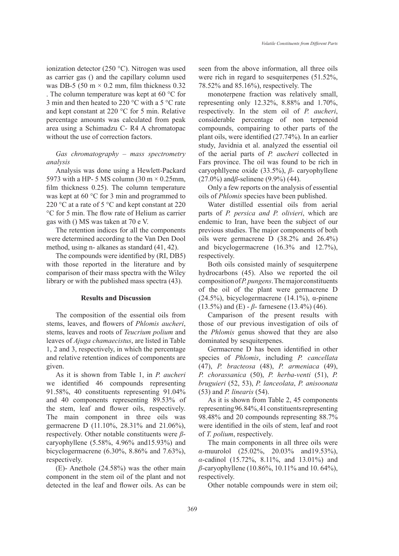ionization detector (250 °C). Nitrogen was used as carrier gas () and the capillary column used was DB-5 (50 m  $\times$  0.2 mm, film thickness 0.32 . The column temperature was kept at 60 °C for 3 min and then heated to 220 °C with a 5 °C rate and kept constant at 220 °C for 5 min. Relative percentage amounts was calculated from peak area using a Schimadzu C- R4 A chromatopac without the use of correction factors.

*Gas chromatography – mass spectrometry analysis* 

Analysis was done using a Hewlett-Packard 5973 with a HP- 5 MS column (30 m  $\times$  0.25mm, film thickness 0.25). The column temperature was kept at 60 °C for 3 min and programmed to 220 °C at a rate of 5 °C and kept constant at 220 °C for 5 min. The flow rate of Helium as carrier gas with () MS was taken at 70 e V.

The retention indices for all the components were determined according to the Van Den Dool method, using n- alkanes as standard (41, 42).

The compounds were identified by (RI, DB5) with those reported in the literature and by comparison of their mass spectra with the Wiley library or with the published mass spectra (43).

#### **Results and Discussion**

The composition of the essential oils from stems, leaves, and flowers of *Phlomis aucheri*, stems, leaves and roots of *Teucrium polium* and leaves of *Ajuga chamaecistus*, are listed in Table 1, 2 and 3, respectively, in which the percentage and relative retention indices of components are given.

As it is shown from Table 1, in *P. aucheri*  we identified 46 compounds representing 91.58%, 40 constituents representing 91.04% and 40 components representing 89.53% of the stem, leaf and flower oils, respectively. The main component in three oils was germacrene D (11.10%, 28.31% and 21.06%), respectively. Other notable constituents were *β*caryophyllene (5.58%, 4.96% and15.93%) and bicyclogermacrene (6.30%, 8.86% and 7.63%), respectively.

(E)- Anethole (24.58%) was the other main component in the stem oil of the plant and not detected in the leaf and flower oils. As can be seen from the above information, all three oils were rich in regard to sesquiterpenes (51.52%, 78.52% and 85.16%), respectively. The

monoterpene fraction was relatively small, representing only 12.32%, 8.88% and 1.70%, respectively. In the stem oil of *P. aucheri*, considerable percentage of non terpenoid compounds, compairing to other parts of the plant oils, were identified (27.74%). In an earlier study, Javidnia et al. analyzed the essential oil of the aerial parts of *P. aucheri* collected in Fars province. The oil was found to be rich in caryophllyene oxide (33.5%), *β*- caryophyllene (27.0%) and*β*-selinene (9.9%) (44).

Only a few reports on the analysis of essential oils of *Phlomis* species have been published.

Water distilled essential oils from aerial parts of *P. persica and P. olivieri*, which are endemic to Iran, have been the subject of our previous studies. The major components of both oils were germacrene D (38.2% and 26.4%) and bicyclogermacrene (16.3% and 12.7%), respectively.

Both oils consisted mainly of sesquiterpene hydrocarbons (45). Also we reported the oil composition of *P. pungens*. The major constituents of the oil of the plant were germacrene D (24.5%), bicyclogermacrene (14.1%),  $\alpha$ -pinene (13.5%) and (E) - *β*- farnesene (13.4%) (46).

Camparison of the present results with those of our previous investigation of oils of the *Phlomis* genus showed that they are also dominated by sesquiterpenes.

Germacrene D has been identified in other species of *Phlomis*, including *P. cancellata*  (47), *P. bracteosa* (48), *P. armeniaca* (49), *P. chorassanica* (50), *P. herba-venti* (51), *P. bruguieri* (52, 53), *P. lanceolata*, *P. anisoonata*  (53) and *P. linearis* (54).

As it is shown from Table 2, 45 components representing 96.84%, 41 constituents representing 98.48% and 20 compounds representing 88.7% were identified in the oils of stem, leaf and root of *T. polium*, respectively.

The main components in all three oils were *α-*muurolol (25.02%, 20.03% and19.53%), *α*-cadinol (15.72%, 8.11%, and 13.01%) and *β*-caryophyllene (10.86%, 10.11% and 10. 64%), respectively.

Other notable compounds were in stem oil;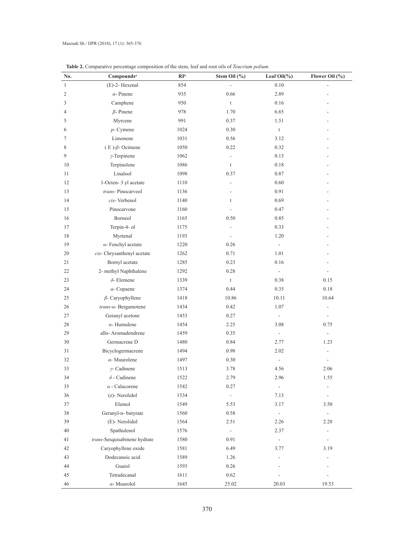| No.            | Compounds <sup>a</sup>       | RI <sup>b</sup> | Stem Oil (%)   | Leaf $Oil(\%)$            | Flower Oil (%)           |
|----------------|------------------------------|-----------------|----------------|---------------------------|--------------------------|
| $\mathbf{1}$   | (E)-2- Hexenal               | 854             | L,             | 0.10                      |                          |
| $\overline{c}$ | $\alpha$ - Pinene            | 935             | 0.66           | 2.89                      |                          |
| 3              | Camphene                     | 950             | $\mathsf t$    | 0.16                      |                          |
| 4              | $\beta$ - Pinene             | 978             | 1.70           | 6.65                      |                          |
| 5              | Myrcene                      | 991             | 0.37           | 1.51                      |                          |
| 6              | $p$ - Cymene                 | 1024            | 0.30           | $\ensuremath{\mathbf{t}}$ |                          |
| 7              | Limonene                     | 1031            | 0.56           | 3.12                      |                          |
| 8              | $(E)$ - $\beta$ - Ocimene    | 1050            | 0.22           | 0.32                      |                          |
| 9              | $\gamma$ -Terpinene          | 1062            |                | 0.13                      |                          |
| 10             | Terpinolene                  | 1086            | $\mathfrak{t}$ | 0.18                      |                          |
| 11             | Linalool                     | 1098            | 0.37           | 0.87                      |                          |
| 12             | 1-Octen-3 yl acetate         | 1110            | ÷,             | 0.60                      |                          |
| 13             | trans-Pinocarveol            | 1136            |                | 0.91                      |                          |
| 14             | cis-Verbenol                 | 1140            | t              | 0.69                      |                          |
| 15             | Pinocarvone                  | 1160            |                | 0.47                      |                          |
| 16             | Borneol                      | 1165            | 0.50           | 0.85                      |                          |
| 17             | Terpin-4- ol                 | 1175            |                | 0.33                      |                          |
| 18             | Myrtenal                     | 1193            | ٠              | 1.20                      |                          |
| 19             | $\alpha$ - Fenchyl acetate   | 1220            | 0.26           |                           |                          |
| 20             | cis- Chrysanthenyl acetate   | 1262            | 0.71           | 1.01                      |                          |
| 21             | Bornyl acetate               | 1285            | 0.23           | 0.16                      |                          |
| 22             | 2- methyl Naphthalene        | 1292            | 0.28           | $\Box$                    |                          |
| 23             | $\delta$ - Elemene           | 1339            | $\mathfrak{t}$ | 0.38                      | 0.15                     |
| 24             | $\alpha$ - Copaene           | 1374            | 0.44           | 0.35                      | 0.18                     |
| 25             | $\beta$ - Caryophyllene      | 1418            | 10.86          | 10.11                     | 10.64                    |
| 26             | trans-a-Bergamotene          | 1434            | 0.42           | 1.07                      | $\overline{a}$           |
| 27             | Geranyl acetone              | 1453            | 0.27           | $\overline{\phantom{a}}$  |                          |
| 28             | $\alpha$ -Humulene           | 1454            | 2.25           | 3.08                      | 0.75                     |
| 29             | allo-Aromadendrene           | 1459            | 0.35           | $\overline{\phantom{a}}$  | $\blacksquare$           |
| 30             | Germacrene D                 | 1480            | 0.84           | 2.77                      | 1.23                     |
| 31             | Bicyclogermacrene            | 1494            | 0.98           | 2.02                      |                          |
| 32             | $\alpha$ - Muurolene         | 1497            | 0.30           | ÷,                        | $\overline{\phantom{a}}$ |
| 33             | $\gamma$ - Cadinene          | 1513            | 3.78           | 4.56                      | 2.06                     |
| 34             | $\delta$ - Cadinene          | 1522            | 2.79           | 2.96                      | 1.55                     |
| 35             | $\alpha$ - Calacorene        | 1542            | 0.27           | $\frac{1}{2}$             | $\overline{\phantom{a}}$ |
| 36             | (z)-Nerolidol                | 1534            | $\Box$         | 7.13                      | $\frac{1}{2}$            |
| 37             | Elemol                       | 1549            | 5.53           | 3.17                      | 3.50                     |
| 38             | Geranyl-n-butyrate           | 1560            | 0.58           |                           | $\frac{1}{2}$            |
| 39             | (E)-Nerolidol                | 1564            | 2.51           | 2.26                      | 2.28                     |
| 40             | Spathulenol                  | 1576            | ÷,             | 2.37                      | ÷                        |
| 41             | trans-Sesquisabinene hydrate | 1580            | 0.91           | $\blacksquare$            |                          |
| 42             | Caryophyllene oxide          | 1581            | 6.49           | 3.77                      | 3.19                     |
| 43             | Dodecanoic acid              | 1589            | 1.26           |                           | ٠                        |
| 44             | Guaiol                       | 1593            | 0.26           |                           |                          |
| 45             | Tetradecanal                 | 1611            | 0.62           |                           |                          |
| 46             | $\alpha$ - Muurolol          | 1645            | 25.02          | 20.03                     | 19.53                    |

 **Table 2.** Comparative percentage composition of the stem, leaf and root oils of *Teucrium polium.*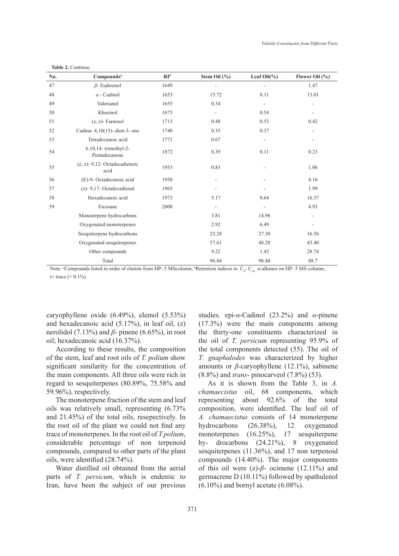| No. | Compounds <sup>a</sup>                   | $\mathbb{R}I^{\mathsf{b}}$ | Stem Oil (%)             | Leaf Oil $(\% )$         | Flower Oil $(\% )$       |
|-----|------------------------------------------|----------------------------|--------------------------|--------------------------|--------------------------|
| 47  | $\beta$ - Eudesmol                       | 1649                       |                          |                          | 1.47                     |
| 48  | $\alpha$ - Cadinol                       | 1653                       | 15.72                    | 8.11                     | 13.01                    |
| 49  | Valerianol                               | 1655                       | 0.34                     | ÷,                       | ÷,                       |
| 50  | Khusinol                                 | 1675                       | $\overline{\phantom{a}}$ | 0.54                     |                          |
| 51  | $(z, z)$ - Farnesol                      | 1713                       | 0.48                     | 0.53                     | 0.42                     |
| 52  | Cadina- 4,10(15)- dien-3- one            | 1740                       | 0.35                     | 0.37                     |                          |
| 53  | Tetradecanoic acid                       | 1771                       | 0.67                     | ÷,                       | ÷,                       |
| 54  | 6.10.14- trimethyl-2-<br>Pentadecanone   | 1872                       | 0.39                     | 0.11                     | 0.23                     |
| 55  | $(z, z)$ - 9,12- Octadecadienoic<br>acid | 1953                       | 0.83                     |                          | 1.06                     |
| 56  | (E)-9- Octadecenoic acid                 | 1958                       |                          |                          | 4.16                     |
| 57  | (z)- 9,17- Octadecadienal                | 1965                       |                          |                          | 1.99                     |
| 58  | Hexadecanoic acid                        | 1973                       | 5.17                     | 0.64                     | 16.37                    |
| 59  | Eicosane                                 | 2000                       | $\overline{\phantom{a}}$ | $\overline{\phantom{a}}$ | 4.93                     |
|     | Monoterpene hydrocarbons                 |                            | 3.81                     | 14.96                    | $\overline{\phantom{m}}$ |
|     | Oxygenated monoterpenes                  |                            | 2.92                     | 6.49                     |                          |
|     | Sesquiterpene hydrocarbons               |                            | 23.28                    | 27.30                    | 16.56                    |
|     | Oxygenated sesquiterpenes                |                            | 57.61                    | 48.28                    | 43.40                    |
|     | Other compounds                          |                            | 9.22                     | 1.45                     | 28.74                    |
|     | Total                                    |                            | 96.84                    | 98.48                    | 88.7                     |

 **Table 2.** Continue.

Note: "Compounds listed in order of elution from HP- 5 MScolumn; "Retention indices to  $C_8$ -  $C_{24}$  n-alkanes on HP- 5 MS column;  $t=$  trace  $(< 0.1\%)$ 

caryophyllene oxide (6.49%), elemol (5.53%) and hexadecanoic acid (5.17%), in leaf oil, (z) nerolidol (7.13%) and  $β$ - pinene (6.65%), in root oil; hexadecanoic acid (16.37%).

According to these results, the composition of the stem, leaf and root oils of *T. polium* show significant similarity for the concentration of the main components. All three oils were rich in regard to sesquiterpenes (80.89%, 75.58% and 59.96%), respectively.

The monoterpene fraction of the stem and leaf oils was relatively small, representing (6.73% and 21.45%) of the total oils, resepectively. In the root oil of the plant we could not find any trace of monoterpenes. In the root oil of *T.polium*, considerable percentage of non terpenoid compounds, compared to other parts of the plant oils, were identified (28.74%).

Water distilled oil obtained from the aerial parts of *T. persicum*, which is endemic to Iran, have been the subject of our previous studies. epi-*α*-Cadinol (23.2%) and *α*-pinene (17.3%) were the main components among the thirty-one constituents characterized in the oil of *T. persicum* representing 95.9% of the total components detected (55). The oil of *T. gnaphalodes* was characterized by higher amounts or *β*-caryophyllene (12.1%), sabinene (8.8%) and *trans*- pinocarveol (7.8%) (53).

As it is shown from the Table 3, in *A. chamaecistus* oil, 68 components, which representing about 92.6% of the total composition, were identified. The leaf oil of *A. chamaecistus* consists of 14 monoterpene hydrocarbons (26.38%), 12 oxygenated monoterpenes (16.25%), 17 sesquiterpene hy- drocarbons (24.21%), 8 oxygenated sesquiterpenes (11.36%), and 17 non terpenoid compounds (14.40%). The major components of this oil were  $(z)$ - $\beta$ - ocimene (12.11%) and germacrene D (10.11%) followed by spathulenol  $(6.10\%)$  and bornyl acetate  $(6.08\%).$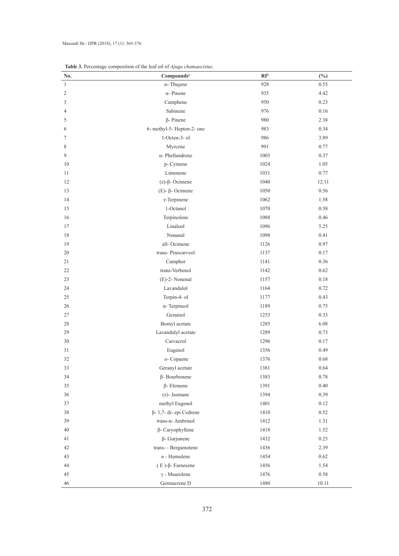| No.          | Compounds <sup>a</sup>      | RI <sub>b</sub> | $(\%)$ |
|--------------|-----------------------------|-----------------|--------|
| $\mathbf{1}$ | $\alpha$ - Thujene          | 928             | 0.55   |
| 2            | $\alpha$ - Pinene           | 935             | 4.42   |
| 3            | Camphene                    | 950             | 0.23   |
| 4            | Sabinene                    | 976             | 0.16   |
| 5            | $\beta$ - Pinene            | 980             | 2.38   |
| 6            | 6- methyl-5- Hepten-2- one  | 983             | 0.34   |
| 7            | 1-Octen-3-ol                | 986             | 3.89   |
| 8            | Myrcene                     | 991             | 0.77   |
| 9            | $\alpha$ - Phellandrene     | 1003            | 0.37   |
| 10           | p- Cymene                   | 1024            | 1.05   |
| 11           | Limonene                    | 1031            | 0.77   |
| 12           | $(z)$ - $\beta$ - Ocimene   | 1040            | 12.11  |
| 13           | $(E)$ - $\beta$ - Ocimene   | 1050            | 0.56   |
| 14           | $\gamma$ -Terpinene         | 1062            | 1.58   |
| 15           | 1-Octanol                   | 1070            | 0.58   |
| 16           | Terpinolene                 | 1088            | 0.46   |
| 17           | Linalool                    | 1096            | 5.25   |
| 18           | Nonanal                     | 1098            | 0.41   |
| 19           | all-Ocimene                 | 1126            | 0.97   |
| 20           | trans-Pinocarveol           | 1137            | 0.17   |
| 21           | Camphor                     | 1141            | 0.36   |
| 22           | trans-Verbenol              | 1142            | 0.62   |
| 23           | $(E)$ -2- Nonenal           | 1157            | 0.18   |
| 24           | Lavandulol                  | 1164            | 0.72   |
| 25           | Terpin-4- ol                | 1177            | 0.43   |
| 26           | $\alpha$ - Terpineol        | 1189            | 0.75   |
| $27\,$       | Geraniol                    | 1253            | 0.33   |
| 28           | Bornyl acetate              | 1285            | 6.08   |
| 29           | Lavandulyl acetate          | 1289            | 0.73   |
| 30           | Carvacrol                   | 1296            | 0.17   |
| 31           | Eugenol                     | 1356            | 0.49   |
| 32           | $\alpha$ - Copaene          | 1376            | 0.68   |
| 33           | Geranyl acetate             | 1381            | 0.64   |
| 34           | $\beta$ - Bourbonene        | 1383            | 0.78   |
| 35           | $\beta$ - Elemene           | 1391            | 0.40   |
| 36           | (z)- Jasmane                | 1394            | 0.39   |
| 37           | methyl Eugenol              | 1401            | 0.12   |
| 38           | β-1,7-di-epi Cedrene        | 1410            | 0.52   |
| 39           | trans-α- Ambrinol           | 1412            | 1.31   |
| 40           | $\beta$ - Caryophyllene     | 1418            | 1.52   |
| 41           | $\beta$ - Gurjunene         | 1432            | 0.25   |
| 42           | trans- - Bergamotene        | 1436            | 2.39   |
| 43           | $\alpha$ - Humulene         | 1454            | 0.62   |
| 44           | $(E)$ - $\beta$ - Farnesene | 1456            | 1.54   |
| 45           | $\gamma$ - Muurolene        | 1476            | 0.58   |
| 46           | Germacrene D                | 1480            | 10.11  |

**Table 3.** Percentage composition of the leaf oil of *Ajuga chamaecistus.*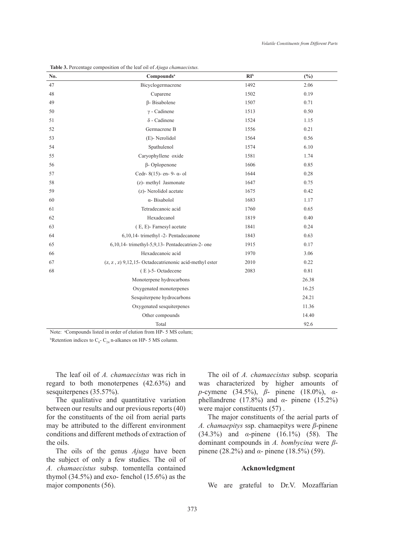| No. | Compounds <sup>a</sup>                                 | $\mathbb{R}I^{\text{b}}$ | (%)   |
|-----|--------------------------------------------------------|--------------------------|-------|
| 47  | Bicyclogermacrene                                      | 1492                     | 2.06  |
| 48  | Cuparene                                               | 1502                     | 0.19  |
| 49  | $\beta$ - Bisabolene                                   | 1507                     | 0.71  |
| 50  | $\gamma$ - Cadinene                                    | 1513                     | 0.50  |
| 51  | $\delta$ - Cadinene                                    | 1524                     | 1.15  |
| 52  | Germacrene B                                           | 1556                     | 0.21  |
| 53  | (E)-Nerolidol                                          | 1564                     | 0.56  |
| 54  | Spathulenol                                            | 1574                     | 6.10  |
| 55  | Caryophyllene oxide                                    | 1581                     | 1.74  |
| 56  | $\beta$ - Oplopenone                                   | 1606                     | 0.85  |
| 57  | Cedr-8(15)- en-9- $\alpha$ -ol                         | 1644                     | 0.28  |
| 58  | (z)- methyl Jasmonate                                  | 1647                     | 0.75  |
| 59  | (z)- Nerolidol acetate                                 | 1675                     | 0.42  |
| 60  | α-Bisabolol                                            | 1683                     | 1.17  |
| 61  | Tetradecanoic acid                                     | 1760                     | 0.65  |
| 62  | Hexadecanol                                            | 1819                     | 0.40  |
| 63  | (E, E)-Farnesyl acetate                                | 1841                     | 0.24  |
| 64  | 6,10,14- trimethyl -2- Pentadecanone                   | 1843                     | 0.63  |
| 65  | 6,10,14- trimethyl-5,9,13- Pentadecatrien-2- one       | 1915                     | 0.17  |
| 66  | Hexadecanoic acid                                      | 1970                     | 3.06  |
| 67  | (z, z, z) 9,12,15- Octadecatrienonic acid-methyl ester | 2010                     | 0.22  |
| 68  | (E)-5-Octadecene                                       | 2083                     | 0.81  |
|     | Monoterpene hydrocarbons                               |                          | 26.38 |
|     | Oxygenated monoterpenes                                |                          | 16.25 |
|     | Sesquiterpene hydrocarbons                             |                          | 24.21 |
|     | Oxygenated sesquiterpenes                              |                          | 11.36 |
|     | Other compounds                                        |                          | 14.40 |
|     | Total                                                  |                          | 92.6  |

**Table 3.** Percentage composition of the leaf oil of *Ajuga chamaecistus.*

Note: <sup>a</sup>Compounds listed in order of elution from HP- 5 MS colum;

<sup>b</sup>Retention indices to  $C_8$ -  $C_{24}$  n-alkanes on HP- 5 MS column.

The leaf oil of *A. chamaecistus* was rich in regard to both monoterpenes (42.63%) and sesquiterpenes (35.57%).

The qualitative and quantitative variation between our results and our previous reports (40) for the constituents of the oil from aerial parts may be attributed to the different environment conditions and different methods of extraction of the oils.

The oils of the genus *Ajuga* have been the subject of only a few studies. The oil of *A. chamaecistus* subsp. tomentella contained thymol  $(34.5\%)$  and exo-fenchol  $(15.6\%)$  as the major components (56).

The oil of *A. chamaecistus* subsp. scoparia was characterized by higher amounts of *p*-cymene (34.5%), *β*- pinene (18.0%), *α*phellandrene (17.8%) and *α*- pinene (15.2%) were major constituents (57).

The major constituents of the aerial parts of *A. chamaepitys* ssp. chamaepitys were *β*-pinene (34.3%) and *α*-pinene (16.1%) (58). The dominant compounds in *A. bombycina* were *β*pinene (28.2%) and *α*- pinene (18.5%) (59).

## **Acknowledgment**

We are grateful to Dr.V. Mozaffarian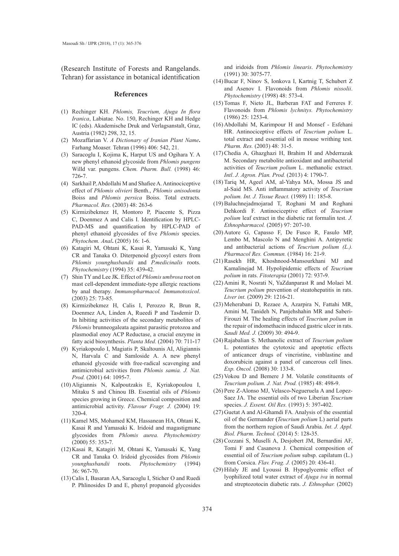(Research Institute of Forests and Rangelands. Tehran) for assistance in botanical identification

#### **References**

- Rechinger KH. *Phlomis, Teucrium, Ajuga In flora*  (1) *Iranica*, Labiatae*.* No. 150, Rechinger KH and Hedge IC (eds). Akademische Druk and Verlagsanstalt, Graz, Austria (1982) 298, 32, 15.
- Mozaffarian V. *A Dictionary of Iranian Plant Name***.**  (2) Farhang Moaser. Tehran (1996) 406: 542, 21.
- Saracoglu I, Kojima K, Harput US and Ogihara Y. A (3) new phenyl ethanoid glycoside from *Phlomis pungens* Willd var. pungens. *Chem. Pharm. Bull.* (1998) 46: 726**-**7.
- Sarkhail P, Abdollahi M and Shafiee A. Antinociceptive (4) effect of *Phlomis olivieri* Benth., *Phlomis anisodonta*  Boiss and *Phlomis persica* Boiss. Total extracts. *Pharmacol. Res.* (2003) 48: 263**-**6
- (5) Kirmizibekmez H, Montoro P, Piacente S, Pizza C, Doenmez A and Calis I. Identification by HPLC-PAD-MS and quantification by HPLC-PAD of phenyl ethanoid glycosides of five *Phlomis* species. *Phytochem. Anal***.** (2005) 16: 1**-**6.
- (6) Katagiri M, Ohtani K, Kasai R, Yamasaki K, Yang CR and Tanaka O. Diterpenoid glycosyl esters from *Phlomis younghusbandii* and *P.medicinalis* roots. *Phytochemistry* (1994) 35: 439**-**42.
- Shin TY and Lee JK. Effect of *Phlomis umbrosa* root on (7) mast cell-dependent immediate-type allergic reactions by anal therapy. *Immunopharmacol. Immunotoxicol*. (2003) 25: 73**-**85.
- (8) Kirmizibekmez H, Calis I, Perozzo R, Brun R, Doenmez AA, Linden A, Rueedi P and Tasdemir D. In hibiting activities of the secondary metabolites of *Phlomis* brunneogaleata against parasitic protozoa and plasmodial enoy ACP Reductase, a crucial enzyme in fatty acid biosynthesis. *Planta Med.* (2004) 70: 711**-**17
- (9) Kyriakopoulo I, Magiatis P, Skaltounis AI, Aligiannis N, Harvala C and Samloside A. A new phenyl ethanoid glycoside with free-radical scavenging and antimicrobial activities from *Phlomis samia. J. Nat. Prod.* (2001) 64: 1095**-**7.
- Aligiannis N, Kalpoutzakis E, Kyriakopoulou I, (10) Mitaku S and Chinou IB. Essential oils of *Phlomis* species growing in Greece. Chemical composition and antimicrobial activity. *Flavour Fragr. J.* (2004) 19: 320**-**4.
- (11) Kamel MS, Mohamed KM, Hassanean HA, Ohtani K, Kasai R and Yamasaki K. Iridoid and magastigmane glycosides from *Phlomis aurea. Phytochemistry* (2000) 55: 353**-**7.
- (12) Kasai R, Katagiri M, Ohtani K, Yamasaki K, Yang CR and Tanaka O. Iridoid glycosides from *Phlomis younghusbandii* roots. *Phytochemistry* (1994) 36: 967**-**70.
- (13) Calis I, Basaran AA, Saracoglu I, Sticher O and Ruedi P. Phlinosides D and E, phenyl propanoid glycosides

and iridoids from *Phlomis linearis*. *Phytochemistry*  (1991) 30: 3075**-**77.

- (14) Bucar F, Ninov S, Ionkova I, Kartnig T, Schubert Z and Asenov I. Flavonoids from *Phlomis nissolii*. *Phytochemistry* (1998) 48: 573**-**4.
- (15) Tomas F, Nieto JL, Barberan FAT and Ferreres F. Flavonoids from *Phlomis lychnitys. Phytochemistry* (1986) 25: 1253**-**4.
- (16) Abdollahi M, Karimpour H and Monsef Esfehani HR. Antinociceptive effects of *Teucrium polium* L. total extract and essential oil in mouse writhing test*. Pharm. Res.* (2003) 48: 31**-**5.
- (17) Chedia A, Ghazghazi H, Brahim H and Abderrazak M. Secondary metabolite antioxidant and antibacterial activities of *Teucrium polium* L. methanolic extract. *Intl*. *J. Agron. Plan. Prod.* (2013) 4: 1790**-**7.
- (18) Tariq M, Ageel AM, al-Yahya MA, Mossa JS and al-Said MS. Anti inflammatory activity of *Teucrium polium. Int. J. Tissue React.* (1989) 11: 185**-**8.
- (19) Baluchnejadmojarad T, Roghani M and Roghani Dehkordi F. Antinociceptive effect of *Teucrium polium* leaf extract in the diabetic rat formalin test. *J. Ethnopharmacol.* (2005) 97: 207**-**10.
- (20) Autore G, Capasso F, De Fusco R, Fasulo MP, Lembo M, Mascolo N and Menghini A. Antipyretic and antibacterial actions of *Teucrium polium (L.). Pharmacol Res. Commun.* (1984) 16: 21**-**9.
- (21) Rasekh HR, Khoshnood-Mansourkhani MJ and Kamalinejad M. Hypolipidemic effects of *Teucrium polium* in rats. *Fitoterapia* (2001) 72: 937**-**9.
- (22) Amini R, Nosrati N, YaZdanparast R and Molaei M. *Teucrium polium* prevention of steatohepatitis in rats. *Liver int.* (2009) 29: 1216**-**21.
- (23) Meherabani D, Rezaee A, Azarpira N, Fattahi MR, Amini M, Tanideh N, Panjehshahin MR and Saberi-Firouzi M. The healing effects of *Teucrium polium* in the repair of indomethacin induced gastric ulcer in rats. *Saudi Med. J.* (2009) 30: 494**-**9.
- (24) Rajabalian S. Methanolic extract of *Teucrium polium*  L*.* potentiates the cytotoxic and apoptotic effects of anticancer drugs of vincristine, vinblastine and doxorubicin against a panel of cancerous cell lines. *Exp. Oncol.* (2008) 30: 133**-**8.
- (25) Vokou D and Bemere J M. Volatile constituents of *Teucrium polium. J. Nat. Prod.* (1985) 48: 498**-**9.
- (26) Pere Z-Alonso MJ, Velasco-Negueruela A and Lopez-Saez JA. The essential oils of two Liberian *Teucrium*  species. *J. Essent. Oil Res.* (1993) 5: 397**-**402.
- (27) Guetat A and Al-Ghamdi FA. Analysis of the essential oil of the Germander **(***Teucrium polium* L) aerial parts from the northern region of Saudi Arabia. *Int. J. Appl. Biol. Pharm. Technol.* (2014) 5: 128**-**35.
- (28) Cozzani S, Muselli A, Desjobert JM, Bernardini AF, Tomi F and Casanova J. Chemical composition of essential oil of *Teucrium polium* subsp. capilatum (L.) from Corsica. *Flav. Frag. J.* (2005) 20: 436**-**41.
- (29) Hilaly JE and Lyoussi B. Hypoglycemic effect of lyophilized total water extract of *Ajuga iva* in normal and streptozotocin diabetic rats. *J. Ethnophar.* (2002)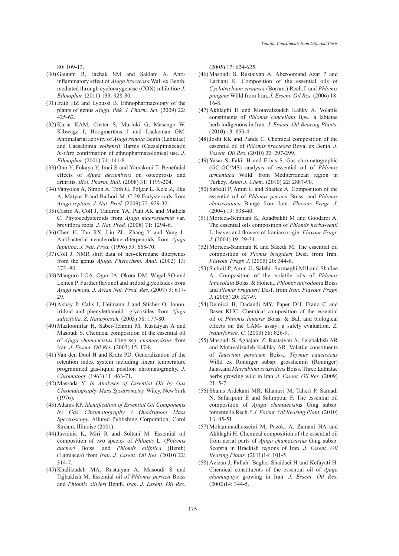80: 109**-**13.

- (30) Gautam R, Jachak SM and Saklani A. Antiinflammatory effect of *Ajuga bracteosa* Wall ex Benth. mediated through cyclooxygenase (COX) inhibitio*n J. Ethnophar.* (2011) 133: 928-30*.*
- (31) Iraili HZ and Lyoussi B. Ethnopharmacology of the plants of genus *Ajuga. Pak. J. Pharm. Sci.* (2009) 22: 425-62.
- (32) Kuria KAM, Coster S, Muriuki G, Masengo W. Kibwage I, Hoogmartens J and Laekeman GM. Antimalarial activity of *Ajuga remota* Benth (Labiatae) and Caesalpinia *volkensii* Harms (Caesalpiniaceae): *in-vit*ro confirmation of ethnopharmacological use. *J. Ethnophar.* (2001) 74: 141**-**8.
- (33) Ono Y, Fukaya Y, Imai S and Yamakuni T. Beneficial effects of *Ajuga decumbens* on osteoprosis and arthritis. *Biol. Pharm. Bull.* (2008) 31: 1199**-**204.
- (34) Vanyolos A, Simon A, Toth G, Polgar L, Kele Z, Ilku A, Matyus P and Bathori M. C-29 Ecdysteroids from *Ajuga reptans. J. Nat. Prod.* (2009) 72: 929**-**32.
- (35) Castro A, Coll J, Tandron YA, Pant AK and Mathela C. Phytoecdysteroids from *Ajuga macrosperma* var*.*  breviflora roots. *J. Nat. Prod.* (2008) 71: 1294-6.
- (36) Chen H, Tan RX, Liu ZL, Zhang Y and Yang L. Antibacterial neoclerodane diterpenoids from *Ajuga lupulina*. *J. Nat. Prod.* (1996) 59: 668**-**70.
- (37) Coll J. NMR shift data of neo-clerodane diterpenes from the genus *Ajuga. Phytochem. Anal.* (2002) 13: 372 **-**80.
- (38) Manguro LOA, Ogur JA, Okora DM, Wagal SO and Lemen P. Further flavonol and iridoid glycolsides from *Ajuga remota. J. Asian Nat. Prod. Res.* (2007) 9: 617**-** 29.
- (39) Akbay P, Calis I, Heimann J and Sticher O. Ionon, iridoid and phenylethanoid glycosides from *Ajuga salicifolia. Z. Naturforsch.* (2003) 58: 177**-**80.
- (40) Mazloomifar H, Saber-Tehrani M, Rustaiyan A and Masoudi S. Chemical composition of the essential oil of *Ajuga chamaecistus* Ging ssp. *chamaecistus* from Iran*. J. Essent. Oil Res.* (2003) 15: 17**-**8.
- (41) Van den Dool H and Kratz PD. Generalization of the retention index system including linear temperature programmed gas-liquid position chromatography. *J. Chromatogr.* (1963) 11: 463**-**71**.**
- (42) Massada Y. *In Analyses of Essential Oil by Gas Chromatography Mass Spectrometry.* Wiley, NewYork (1976).
- (43) Adams RP. *Identification of Essential Oil Components by Gas Chromatography / Quadrupole Mass Spectroscopy.* Allured Publishing Corporation, Carol Stream, Illinoise (2001).
- (44) Javidnia K, Miri R and Soltani M. Essential oil composition of two species of *Phlomis* L. (*Phlomis aucheri* Boiss. and *Phlomis elliptica* (Benth) (Lamiacea) from *Iran*. *J. Essent. Oil Res.* (2010) 22: 314**-**7.
- (45) Khalilzadeh MA, Rustaiyan A, Masoudi S and Tajbakhsh M. Essential oil of *Phlomis persica* Boiss and *Phlomis olivieri* Benth. *Iran*. *J. Essent. Oil Res.*

(2005) 17: 624**-**625.

- (46) Masoudi S, Rustaiyan A, Aberoomand Azar P and Larijani K. Composition of the essential oils of *Cyclotrichium straussii* (Bornm.) Rech.f. and *Phlomis pungens* Willd from Iran. *J. Essent. Oil Res.* (2006) 18: 16**-**8.
- (47) Akhlaghi H and Motavalizadeh Kahky A. Volatile constituents of *Phlomis cancellata* Bge., a labiatae herb indigenous in Iran*. J. Essent. Oil Bearing Plants.* (2010) 13: 650**-**4.
- (48) Joshi RK and Pande C. Chemical composition of the essential oil of *Phlomis bracteosa* Royal ex Benth. *J. Essent. Oil Res.* (2010) 22: 297**-**299.
- (49) Yasar S, Fakir H and Erbas S. Gas chromatographic (GC-GC/MS) analysis of essential oil of *Phlomis armeniaca* Willd. from Mediterranean region in Turkey. *Asian J. Chem.* (2010) 22: 2887**-**90.
- (50) Sarkail P, Amin G and Shafiee A. Composition of the essential oil of *Phlomis persica* Boiss. and *Phlomis chorassanica* Bunge from Iran. *Flavour Fragr. J.*  (2004) 19: 538**-**40.
- (51) Morteza-Semnani K, Azadbakht M and Goodarzi A. The essential oils composition of *Phlomis herba-venti* L. leaves and flowers of Iranian origin. *Flavour Fragr. J.* (2004) 19: 29**-**31.
- (52) Morteza-Samnani K and Saeedi M. The essential oil composition of *Plomis bruguieri* Desf. from Iran. *Flavour Fragr. J*. (2005) 20: 344-6.
- (53) Sarkail P, Amin G, Salehi- Surmaghi MH and Shafiee A. Composition of the volatile oils of *Phlomis lanceolata* Boiss. & Hohen., *Phlomis anisodonta* Boiss and *Plomis bruguieri* Desf. from *Iran. Flavour Fragr. J.* (2005) 20: 327-9.
- (54) Demirci B, Dadandi MY, Paper DH, Franz C and Baser KHC. Chemical composition of the essential oil of *Phlomis linearis* Boiss. & Bal, and biological effects on the CAM- assay: a safely evaluation. *Z. Naturforsch. C.* (2003) 58: 826-9.
- (55) Masoudi S, Aghajani Z, Rustaiyan A, Feizbakhsh AR and Motavalizadeh Kakhky AR. Volatile constituents of *Teucrium persicum* Boiss., *Thymus caucasicus* Willd ex Ronniger subsp. grossheimii (Ronniger) Jalas.and *Marrubium crassidens* Boiss. Three Labiatae herbs growing wild in Iran. *J. Essent. Oil Res.* (2009) 21: 5**-**7.
- (56) Shams Ardekani MR, Khanavi M, Taheri P, Samadi N, Safaripour E and Salimpour F. The essential oil composition of *Ajuga chamaecist*us Ging subsp. tomentella Rech.f. *J. Essent. Oil Bearing Plant.* (2010) 13: 45**-**51.
- (57) Mohammadhosseini M, Pazoki A, Zamani HA and Akhlaghi H. Chemical composition of the essential oil from aerial parts of *Ajuga chamaecistus* Ging subsp. Scopria in Brackish regions of Iran. *J. Essent. Oil Bearing Plants.* (2011)14: 101**-**5.
- (58) Azizan J, Fallah- Bagher-Shaidaei H and Kefayati H. Chemical constituents of the essential oil of *Ajuga chamaepitys* growing in Iran. *J. Essent. Oil Res.* (2002)14: 344**-**5.